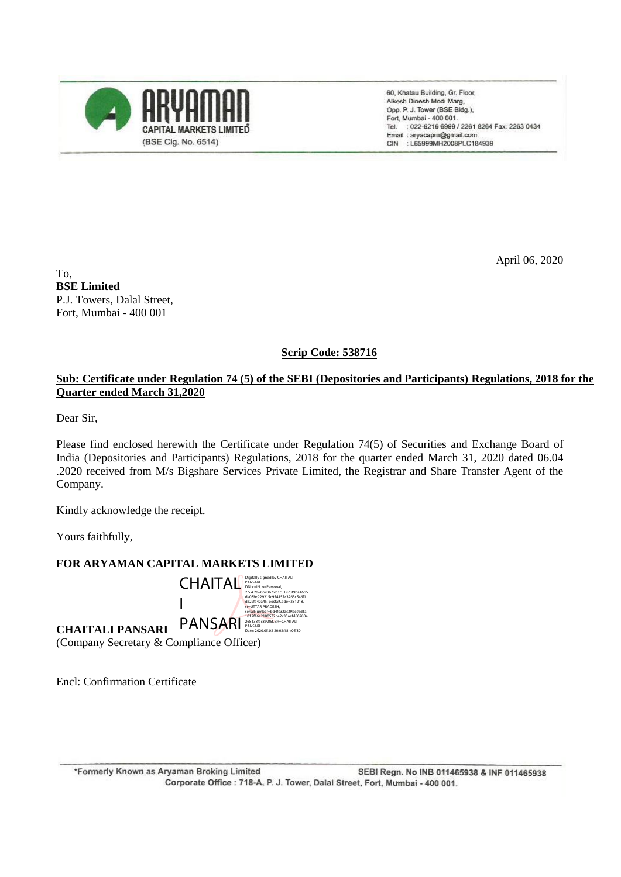

60, Khatau Building, Gr. Floor, Alkesh Dinesh Modi Marg, Opp. P. J. Tower (BSE Bldg.), Fort, Mumbai - 400 001. : 022-6216 6999 / 2261 8264 Fax: 2263 0434 Tel. Email: aryacapm@gmail.com CIN : L65999MH2008PLC184939

April 06, 2020

To, **BSE Limited** P.J. Towers, Dalal Street, Fort, Mumbai - 400 001

**Scrip Code: 538716**

## **Sub: Certificate under Regulation 74 (5) of the SEBI (Depositories and Participants) Regulations, 2018 for the Quarter ended March 31,2020**

Dear Sir,

Please find enclosed herewith the Certificate under Regulation 74(5) of Securities and Exchange Board of India (Depositories and Participants) Regulations, 2018 for the quarter ended March 31, 2020 dated 06.04 .2020 received from M/s Bigshare Services Private Limited, the Registrar and Share Transfer Agent of the Company.

Kindly acknowledge the receipt.

Yours faithfully,

## **FOR ARYAMAN CAPITAL MARKETS LIMITED**

**CHAITALI PANSARI** (Company Secretary & Compliance Officer) CHAITAL Digitally signed by CHAITALI PANSARI DN: c=IN, o=Personal, 2.5.4.20=0bc0b72b1c51973f9ba16b5 de03bc229215c954157c3265c546f1 da29fa40a45, postalCode=231218, I PANSARI st=UTTAR PRADESH, serialNumber=bd4fc32ac39bcc9d1a 1012f16a2180572be2c35aefd80283e 268138fac392f5f, cn=CHAITALI PANSARI Date: 2020.05.02 20:02:18 +05'30'

Encl: Confirmation Certificate